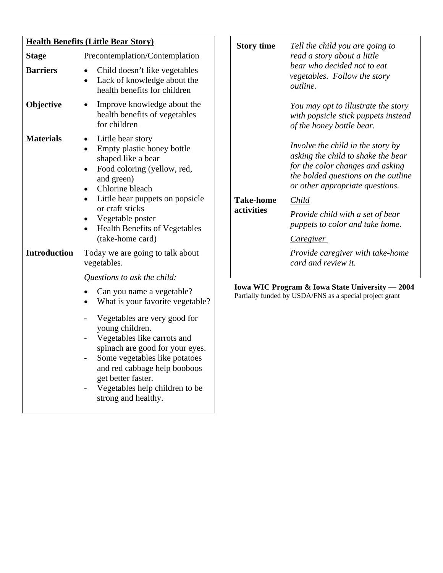| <b>Health Benefits (Little Bear Story)</b> |                                                                                                                                                                                                                                                                   | <b>Story time</b>              | Tell the child you are going to                                                                                                                                                                  |  |
|--------------------------------------------|-------------------------------------------------------------------------------------------------------------------------------------------------------------------------------------------------------------------------------------------------------------------|--------------------------------|--------------------------------------------------------------------------------------------------------------------------------------------------------------------------------------------------|--|
| <b>Stage</b>                               | Precontemplation/Contemplation                                                                                                                                                                                                                                    |                                | read a story about a little<br>bear who decided not to eat<br>vegetables. Follow the story<br>outline.                                                                                           |  |
| <b>Barriers</b>                            | Child doesn't like vegetables<br>Lack of knowledge about the<br>health benefits for children                                                                                                                                                                      |                                |                                                                                                                                                                                                  |  |
| Objective                                  | Improve knowledge about the<br>health benefits of vegetables<br>for children                                                                                                                                                                                      |                                | You may opt to illustrate the st<br>with popsicle stick puppets insi<br>of the honey bottle bear.                                                                                                |  |
| <b>Materials</b>                           | Little bear story<br>$\bullet$<br>Empty plastic honey bottle<br>$\bullet$<br>shaped like a bear<br>Food coloring (yellow, red,<br>$\bullet$<br>and green)<br>Chlorine bleach<br>$\bullet$<br>Little bear puppets on popsicle<br>$\bullet$<br>or craft sticks      | <b>Take-home</b><br>activities | Involve the child in the story $b_1$<br>asking the child to shake the be<br>for the color changes and askin<br>the bolded questions on the out<br>or other appropriate questions<br><b>Child</b> |  |
|                                            | Vegetable poster<br><b>Health Benefits of Vegetables</b><br>(take-home card)                                                                                                                                                                                      |                                | Provide child with a set of bea.<br>puppets to color and take home<br>Caregiver                                                                                                                  |  |
| <b>Introduction</b>                        | Today we are going to talk about<br>vegetables.                                                                                                                                                                                                                   |                                | Provide caregiver with take-ho<br>card and review it.                                                                                                                                            |  |
|                                            | Questions to ask the child:                                                                                                                                                                                                                                       |                                |                                                                                                                                                                                                  |  |
|                                            | Can you name a vegetable?<br>What is your favorite vegetable?                                                                                                                                                                                                     |                                | Iowa WIC Program & Iowa State University -<br>Partially funded by USDA/FNS as a special project gran                                                                                             |  |
|                                            | Vegetables are very good for<br>young children.<br>Vegetables like carrots and<br>spinach are good for your eyes.<br>Some vegetables like potatoes<br>and red cabbage help booboos<br>get better faster.<br>Vegetables help children to be<br>strong and healthy. |                                |                                                                                                                                                                                                  |  |

|            | read a story about a little<br>bear who decided not to eat<br><i>vegetables. Follow the story</i><br><i>outline.</i>                                                                  |
|------------|---------------------------------------------------------------------------------------------------------------------------------------------------------------------------------------|
|            | You may opt to illustrate the story<br>with popsicle stick puppets instead<br>of the honey bottle bear.                                                                               |
|            | Involve the child in the story by<br>asking the child to shake the bear<br>for the color changes and asking<br>the bolded questions on the outline<br>or other appropriate questions. |
| Take-home  | <i>Child</i>                                                                                                                                                                          |
| activities | Provide child with a set of bear<br>puppets to color and take home.                                                                                                                   |
|            | <i>Caregiver</i>                                                                                                                                                                      |
|            | Provide caregiver with take-home                                                                                                                                                      |

**Iowa WIC Program & Iowa State University — 2004**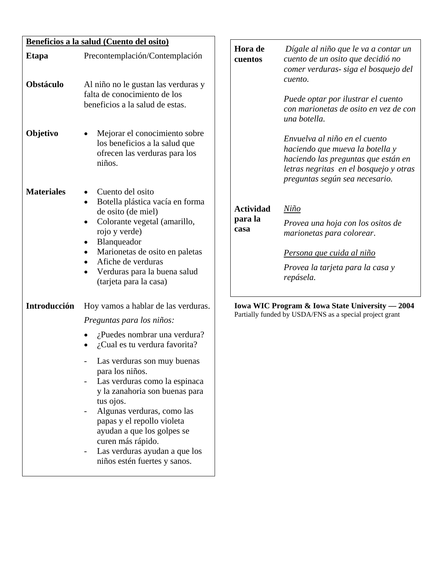| Beneficios a la salud (Cuento del osito) |                                                                                                                                                                                                                                                                                                                                                                                                                                                              |                                     |                                                                                                                                                                                                             |
|------------------------------------------|--------------------------------------------------------------------------------------------------------------------------------------------------------------------------------------------------------------------------------------------------------------------------------------------------------------------------------------------------------------------------------------------------------------------------------------------------------------|-------------------------------------|-------------------------------------------------------------------------------------------------------------------------------------------------------------------------------------------------------------|
| <b>Etapa</b><br>Obstáculo                | Precontemplación/Contemplación<br>Al niño no le gustan las verduras y<br>falta de conocimiento de los<br>beneficios a la salud de estas.                                                                                                                                                                                                                                                                                                                     | Hora de<br>cuentos                  | Dígale al niño que le va a contar un<br>cuento de un osito que decidió no<br>comer verduras- siga el bosquejo del<br>cuento.<br>Puede optar por ilustrar el cuento<br>con marionetas de osito en vez de con |
| Objetivo                                 | Mejorar el conocimiento sobre<br>los beneficios a la salud que<br>ofrecen las verduras para los<br>niños.                                                                                                                                                                                                                                                                                                                                                    |                                     | una botella.<br>Envuelva al niño en el cuento<br>haciendo que mueva la botella y<br>haciendo las preguntas que están en<br>letras negritas en el bosquejo y otras<br>preguntas según sea necesario.         |
| <b>Materiales</b>                        | Cuento del osito<br>Botella plástica vacía en forma<br>de osito (de miel)<br>Colorante vegetal (amarillo,<br>$\bullet$<br>rojo y verde)<br>Blanqueador<br>$\bullet$<br>Marionetas de osito en paletas<br>Afiche de verduras<br>Verduras para la buena salud<br>$\bullet$<br>(tarjeta para la casa)                                                                                                                                                           | <b>Actividad</b><br>para la<br>casa | $Ni\tilde{n}o$<br>Provea una hoja con los ositos de<br>marionetas para colorear.<br>Persona que cuida al niño<br>Provea la tarjeta para la casa y<br>repásela.                                              |
| Introducción                             | Hoy vamos a hablar de las verduras.<br>Preguntas para los niños:<br>¿Puedes nombrar una verdura?<br>$\lambda$ Cual es tu verdura favorita?<br>Las verduras son muy buenas<br>para los niños.<br>Las verduras como la espinaca<br>y la zanahoria son buenas para<br>tus ojos.<br>Algunas verduras, como las<br>papas y el repollo violeta<br>ayudan a que los golpes se<br>curen más rápido.<br>Las verduras ayudan a que los<br>niños estén fuertes y sanos. |                                     | Iowa WIC Program & Iowa State University - 2004<br>Partially funded by USDA/FNS as a special project grant                                                                                                  |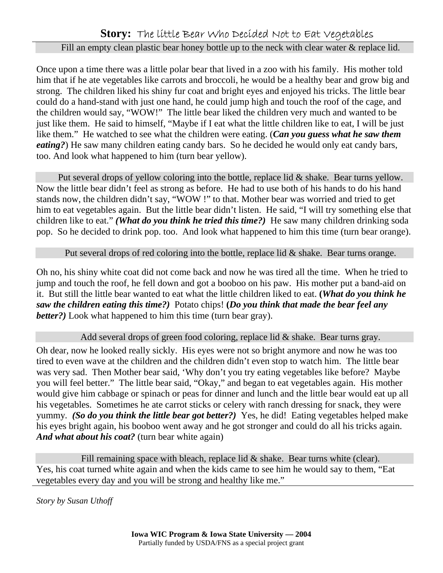#### **Story:** The little Bear Who Decided Not to Eat Vegetables

#### Fill an empty clean plastic bear honey bottle up to the neck with clear water & replace lid.

Once upon a time there was a little polar bear that lived in a zoo with his family. His mother told him that if he ate vegetables like carrots and broccoli, he would be a healthy bear and grow big and strong. The children liked his shiny fur coat and bright eyes and enjoyed his tricks. The little bear could do a hand-stand with just one hand, he could jump high and touch the roof of the cage, and the children would say, "WOW!" The little bear liked the children very much and wanted to be just like them. He said to himself, "Maybe if I eat what the little children like to eat, I will be just like them." He watched to see what the children were eating. (*Can you guess what he saw them eating?*) He saw many children eating candy bars. So he decided he would only eat candy bars, too. And look what happened to him (turn bear yellow).

Put several drops of yellow coloring into the bottle, replace lid & shake. Bear turns yellow. Now the little bear didn't feel as strong as before. He had to use both of his hands to do his hand stands now, the children didn't say, "WOW !" to that. Mother bear was worried and tried to get him to eat vegetables again. But the little bear didn't listen. He said, "I will try something else that children like to eat." *(What do you think he tried this time?)* He saw many children drinking soda pop. So he decided to drink pop. too. And look what happened to him this time (turn bear orange).

#### Put several drops of red coloring into the bottle, replace lid & shake. Bear turns orange.

Oh no, his shiny white coat did not come back and now he was tired all the time. When he tried to jump and touch the roof, he fell down and got a booboo on his paw. His mother put a band-aid on it. But still the little bear wanted to eat what the little children liked to eat. **(***What do you think he saw the children eating this time?)* Potato chips! **(***Do you think that made the bear feel any better?)* Look what happened to him this time (turn bear gray).

#### Add several drops of green food coloring, replace lid & shake. Bear turns gray.

Oh dear, now he looked really sickly. His eyes were not so bright anymore and now he was too tired to even wave at the children and the children didn't even stop to watch him. The little bear was very sad. Then Mother bear said, 'Why don't you try eating vegetables like before? Maybe you will feel better." The little bear said, "Okay," and began to eat vegetables again. His mother would give him cabbage or spinach or peas for dinner and lunch and the little bear would eat up all his vegetables. Sometimes he ate carrot sticks or celery with ranch dressing for snack, they were yummy*. (So do you think the little bear got better?)* Yes, he did! Eating vegetables helped make his eyes bright again, his booboo went away and he got stronger and could do all his tricks again. *And what about his coat?* (turn bear white again)

Fill remaining space with bleach, replace lid  $\&$  shake. Bear turns white (clear). Yes, his coat turned white again and when the kids came to see him he would say to them, "Eat vegetables every day and you will be strong and healthy like me."

*Story by Susan Uthoff*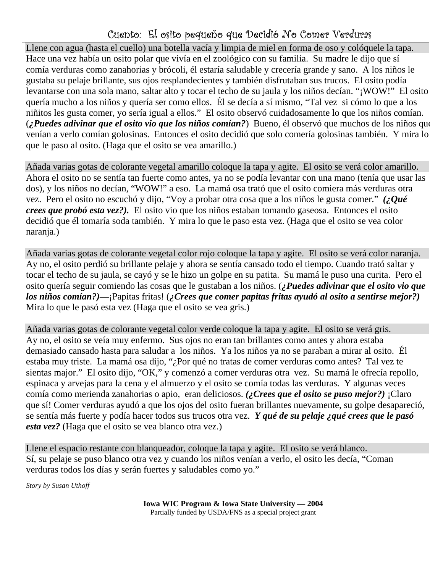### Cuento: El osito pequeño que Decidió No Comer Verduras

Llene con agua (hasta el cuello) una botella vacía y limpia de miel en forma de oso y colóquele la tapa. Hace una vez había un osito polar que vivía en el zoológico con su familia. Su madre le dijo que sí comía verduras como zanahorias y brócoli, él estaría saludable y crecería grande y sano. A los niños le gustaba su pelaje brillante, sus ojos resplandecientes y también disfrutaban sus trucos. El osito podía levantarse con una sola mano, saltar alto y tocar el techo de su jaula y los niños decían. "¡WOW!" El osito quería mucho a los niños y quería ser como ellos. Él se decía a sí mismo, "Tal vez si cómo lo que a los niñitos les gusta comer, yo sería igual a ellos." El osito observó cuidadosamente lo que los niños comían. (*¿Puedes adivinar que el osito vio que los niños comían?*) Bueno, él observó que muchos de los niños que venían a verlo comían golosinas. Entonces el osito decidió que solo comería golosinas también. Y mira lo que le paso al osito. (Haga que el osito se vea amarillo.)

Añada varias gotas de colorante vegetal amarillo coloque la tapa y agite. El osito se verá color amarillo. Ahora el osito no se sentía tan fuerte como antes, ya no se podía levantar con una mano (tenía que usar las dos), y los niños no decían, "WOW!" a eso. La mamá osa trató que el osito comiera más verduras otra vez. Pero el osito no escuchó y dijo, "Voy a probar otra cosa que a los niños le gusta comer." *(¿Qué crees que probó esta vez?).* El osito vio que los niños estaban tomando gaseosa. Entonces el osito decidió que él tomaría soda también. Y mira lo que le paso esta vez. (Haga que el osito se vea color naranja.)

Añada varias gotas de colorante vegetal color rojo coloque la tapa y agite. El osito se verá color naranja. Ay no, el osito perdió su brillante pelaje y ahora se sentía cansado todo el tiempo. Cuando trató saltar y tocar el techo de su jaula, se cayó y se le hizo un golpe en su patita. Su mamá le puso una curita. Pero el osito quería seguir comiendo las cosas que le gustaban a los niños. (*¿Puedes adivinar que el osito vio que los niños comían?)***—**¡Papitas fritas! (*¿Crees que comer papitas fritas ayudó al osito a sentirse mejor?)* Mira lo que le pasó esta vez (Haga que el osito se vea gris.)

Añada varias gotas de colorante vegetal color verde coloque la tapa y agite. El osito se verá gris. Ay no, el osito se veía muy enfermo. Sus ojos no eran tan brillantes como antes y ahora estaba demasiado cansado hasta para saludar a los niños. Ya los niños ya no se paraban a mirar al osito. Él estaba muy triste. La mamá osa dijo, "¿Por qué no tratas de comer verduras como antes? Tal vez te sientas major." El osito dijo, "OK," y comenzó a comer verduras otra vez. Su mamá le ofrecía repollo, espinaca y arvejas para la cena y el almuerzo y el osito se comía todas las verduras. Y algunas veces comía como merienda zanahorias o apio, eran deliciosos. *(¿Crees que el osito se puso mejor?)* ¡Claro que sí! Comer verduras ayudó a que los ojos del osito fueran brillantes nuevamente, su golpe desapareció, se sentía más fuerte y podía hacer todos sus trucos otra vez. *Y qué de su pelaje ¿qué crees que le pasó esta vez?* (Haga que el osito se vea blanco otra vez.)

Llene el espacio restante con blanqueador, coloque la tapa y agite. El osito se verá blanco. Sí, su pelaje se puso blanco otra vez y cuando los niños venían a verlo, el osito les decía, "Coman verduras todos los días y serán fuertes y saludables como yo."

*Story by Susan Uthoff*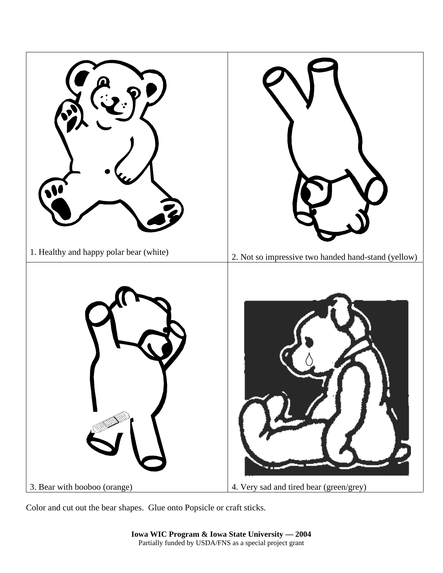

Color and cut out the bear shapes. Glue onto Popsicle or craft sticks.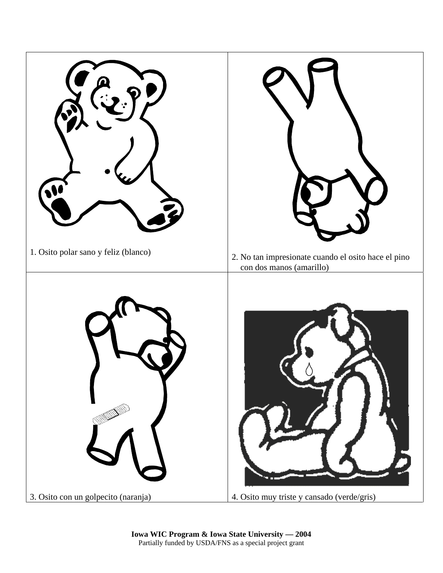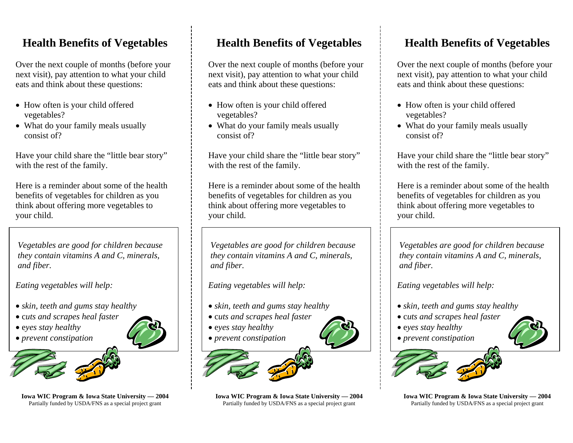# **Health Benefits of Vegetables**

Over the next couple of months (before your next visit), pay attention to what your child eats and think about these questions:

- How often is your child offered vegetables?
- What do your family meals usually consist of?

Have your child share the "little bear story" with the rest of the family.

Here is a reminder about some of the health benefits of vegetables for children as you think about offering more vegetables to your child.

*Vegetables are good for children because they contain vitamins A and C, minerals, and fiber.* 

*Eating vegetables will help:* 

- • *skin, teeth and gums stay healthy*
- c*uts and scrapes heal faster*
- e*yes stay healthy*
- • *prevent constipation*



**Iowa WIC Program & Iowa State University — 2004**  Partially funded by USDA/FNS as a special project grant

## **Health Benefits of Vegetables**

Over the next couple of months (before your next visit), pay attention to what your child eats and think about these questions:

- How often is your child offered vegetables?
- What do your family meals usually consist of?

Have your child share the "little bear story" with the rest of the family.

Here is a reminder about some of the health benefits of vegetables for children as you think about offering more vegetables to your child.

*Vegetables are good for children because they contain vitamins A and C, minerals, and fiber.* 

*Eating vegetables will help:* 

- • *skin, teeth and gums stay healthy*
- c*uts and scrapes heal faster*
- e*yes stay healthy*
- • *prevent constipation*



**Iowa WIC Program & Iowa State University — 2004**  Partially funded by USDA/FNS as a special project grant

# **Health Benefits of Vegetables**

Over the next couple of months (before your next visit), pay attention to what your child eats and think about these questions:

- How often is your child offered vegetables?
- What do your family meals usually consist of?

Have your child share the "little bear story" with the rest of the family.

Here is a reminder about some of the health benefits of vegetables for children as you think about offering more vegetables to your child.

*Vegetables are good for children because they contain vitamins A and C, minerals, and fiber.* 

*Eating vegetables will help:* 

- • *skin, teeth and gums stay healthy*
- c*uts and scrapes heal faster*
- e*yes stay healthy*
- • *prevent constipation*



**Iowa WIC Program & Iowa State University — 2004**  Partially funded by USDA/FNS as a special project grant